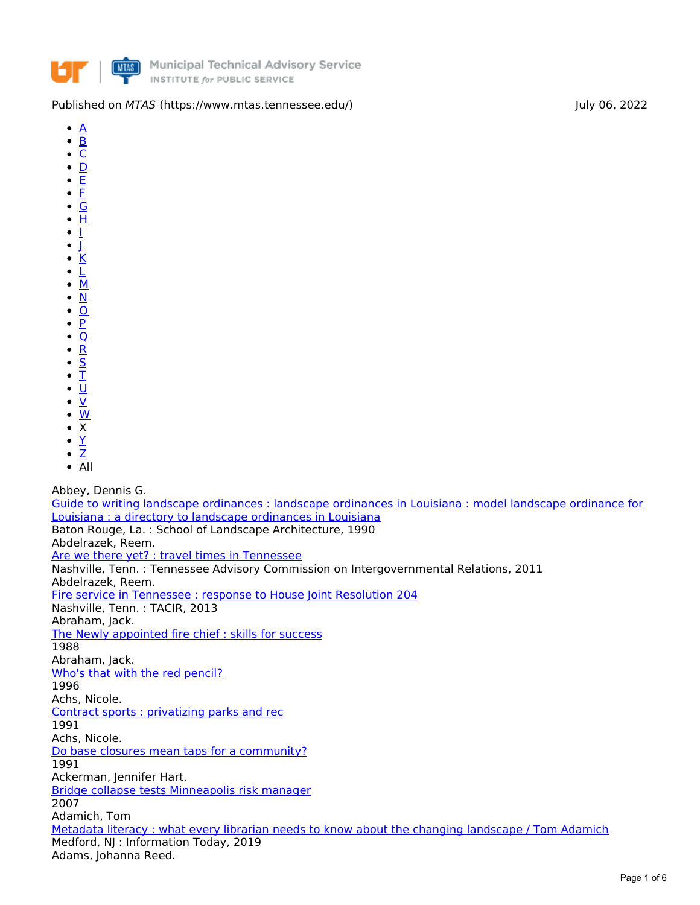

## Published on *MTAS* (https://www.mtas.tennessee.edu/) and a state of the state of the state of the state of the state of the state of the state of the state of the state of the state of the state of the state of the state

- $\bullet$  $\mathbf{A}$  $\mathbf{A}$  $\mathbf{A}$
- $\overline{\mathsf{B}}$  $\overline{\mathsf{B}}$  $\overline{\mathsf{B}}$  .  $\bullet$
- $\overline{\mathsf{C}}$  $\overline{\mathsf{C}}$  $\overline{\mathsf{C}}$  .  $\bullet$
- $\overline{\mathsf{D}}$  $\overline{\mathsf{D}}$  $\overline{\mathsf{D}}$  .  $\bullet$ [E](https://www.mtas.tennessee.edu/print/view/pdf/molly_documents/page_5/E?q=print/view/pdf/molly_documents/page_5)
- $\bullet$ [F](https://www.mtas.tennessee.edu/print/view/pdf/molly_documents/page_5/F?q=print/view/pdf/molly_documents/page_5)
- [G](https://www.mtas.tennessee.edu/print/view/pdf/molly_documents/page_5/G?q=print/view/pdf/molly_documents/page_5)  $\bullet$
- $\overline{H}$  $\overline{H}$  $\overline{H}$
- [I](https://www.mtas.tennessee.edu/print/view/pdf/molly_documents/page_5/I?q=print/view/pdf/molly_documents/page_5)
- $\perp$  $\bullet$
- [K](https://www.mtas.tennessee.edu/print/view/pdf/molly_documents/page_5/K?q=print/view/pdf/molly_documents/page_5)  $\bullet$
- [L](https://www.mtas.tennessee.edu/print/view/pdf/molly_documents/page_5/L?q=print/view/pdf/molly_documents/page_5)  $\bullet$
- [M](https://www.mtas.tennessee.edu/print/view/pdf/molly_documents/page_5/M?q=print/view/pdf/molly_documents/page_5)  $\bullet$
- [N](https://www.mtas.tennessee.edu/print/view/pdf/molly_documents/page_5/N?q=print/view/pdf/molly_documents/page_5)  $\bullet$
- [O](https://www.mtas.tennessee.edu/print/view/pdf/molly_documents/page_5/O?q=print/view/pdf/molly_documents/page_5)  $\bullet$
- $\overline{P}$  $\overline{P}$  $\overline{P}$  $\overline{\mathsf{Q}}$  $\overline{\mathsf{Q}}$  $\overline{\mathsf{Q}}$  $\bullet$
- $\bullet$
- [R](https://www.mtas.tennessee.edu/print/view/pdf/molly_documents/page_5/R?q=print/view/pdf/molly_documents/page_5)  $\bullet$ [S](https://www.mtas.tennessee.edu/print/view/pdf/molly_documents/page_5/S?q=print/view/pdf/molly_documents/page_5)
- [T](https://www.mtas.tennessee.edu/print/view/pdf/molly_documents/page_5/T?q=print/view/pdf/molly_documents/page_5)
- <u>[U](https://www.mtas.tennessee.edu/print/view/pdf/molly_documents/page_5/U?q=print/view/pdf/molly_documents/page_5)</u>
- $\bullet$ [V](https://www.mtas.tennessee.edu/print/view/pdf/molly_documents/page_5/V?q=print/view/pdf/molly_documents/page_5)
- [W](https://www.mtas.tennessee.edu/print/view/pdf/molly_documents/page_5/W?q=print/view/pdf/molly_documents/page_5)
- X  $\bullet$
- [Y](https://www.mtas.tennessee.edu/print/view/pdf/molly_documents/page_5/Y?q=print/view/pdf/molly_documents/page_5)  $\bullet$  $\bullet$
- [Z](https://www.mtas.tennessee.edu/print/view/pdf/molly_documents/page_5/Z?q=print/view/pdf/molly_documents/page_5)  $\overline{A}$ ll

Abbey, Dennis G.

Guide to writing landscape [ordinances](https://www.mtas.tennessee.edu/librarycatalog/guide-writing-landscape-ordinances-landscape-ordinances-louisiana-model-landscape) : landscape ordinances in Louisiana : model landscape ordinance for Louisiana : a directory to landscape ordinances in Louisiana Baton Rouge, La. : School of Landscape Architecture, 1990 Abdelrazek, Reem. Are we there yet? : travel times in [Tennessee](https://www.mtas.tennessee.edu/librarycatalog/are-we-there-yet-travel-times-tennessee) Nashville, Tenn. : Tennessee Advisory Commission on Intergovernmental Relations, 2011 Abdelrazek, Reem. Fire service in [Tennessee](https://www.mtas.tennessee.edu/librarycatalog/fire-service-tennessee-response-house-joint-resolution-204) : response to House Joint Resolution 204 Nashville, Tenn. : TACIR, 2013 Abraham, Jack. The Newly [appointed](https://www.mtas.tennessee.edu/librarycatalog/newly-appointed-fire-chief-skills-success) fire chief : skills for success 1988 Abraham, Jack. Who's that with the red [pencil?](https://www.mtas.tennessee.edu/librarycatalog/whos-red-pencil) 1996 Achs, Nicole. Contract sports : [privatizing](https://www.mtas.tennessee.edu/librarycatalog/contract-sports-privatizing-parks-and-rec) parks and rec 1991 Achs, Nicole. Do base closures mean taps for a [community?](https://www.mtas.tennessee.edu/librarycatalog/do-base-closures-mean-taps-community) 1991 Ackerman, Jennifer Hart. Bridge collapse tests [Minneapolis](https://www.mtas.tennessee.edu/librarycatalog/bridge-collapse-tests-minneapolis-risk-manager) risk manager 2007 Adamich, Tom Metadata literacy : what every librarian needs to know about the changing [landscape](https://www.mtas.tennessee.edu/librarycatalog/metadata-literacy-what-every-librarian-needs-know-about-changing-landscape-tom) / Tom Adamich Medford, NJ : Information Today, 2019 Adams, Johanna Reed.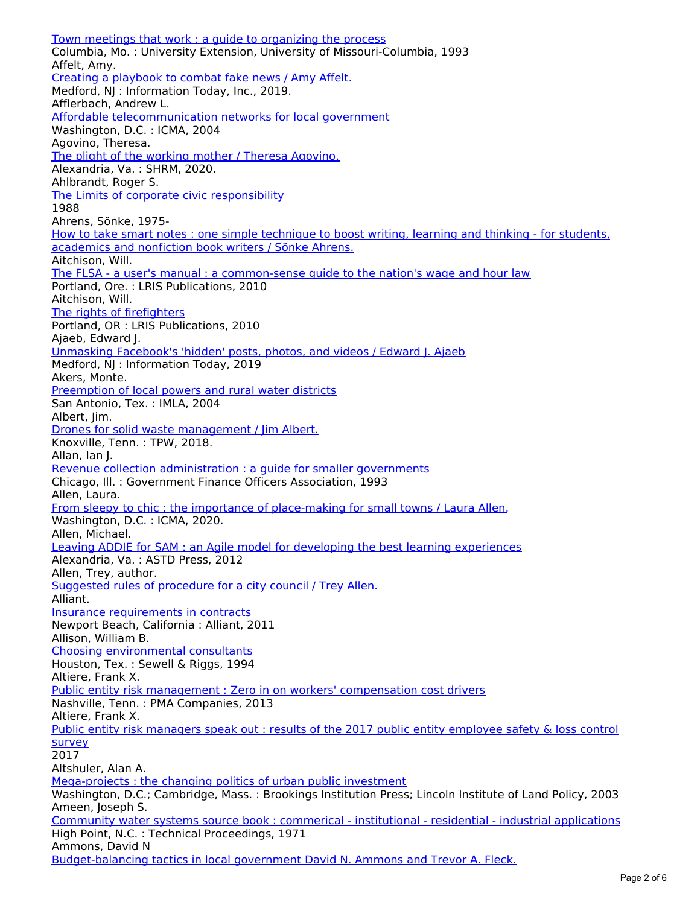Town meetings that work : a guide to [organizing](https://www.mtas.tennessee.edu/librarycatalog/town-meetings-work-guide-organizing-process) the process Columbia, Mo. : University Extension, University of Missouri-Columbia, 1993 Affelt, Amy. Creating a [playbook](https://www.mtas.tennessee.edu/librarycatalog/creating-playbook-combat-fake-news-amy-affelt) to combat fake news / Amy Affelt. Medford, NJ : Information Today, Inc., 2019. Afflerbach, Andrew L. Affordable [telecommunication](https://www.mtas.tennessee.edu/librarycatalog/affordable-telecommunication-networks-local-government) networks for local government Washington, D.C. : ICMA, 2004 Agovino, Theresa. The plight of the working mother / Theresa [Agovino.](https://www.mtas.tennessee.edu/librarycatalog/plight-working-mother-theresa-agovino) Alexandria, Va. : SHRM, 2020. Ahlbrandt, Roger S. The Limits of corporate civic [responsibility](https://www.mtas.tennessee.edu/librarycatalog/limits-corporate-civic-responsibility) 1988 Ahrens, Sönke, 1975- How to take smart notes : one simple technique to boost writing, learning and thinking - for students, [academics](https://www.mtas.tennessee.edu/librarycatalog/how-take-smart-notes-one-simple-technique-boost-writing-learning-and-thinking) and nonfiction book writers / Sönke Ahrens. Aitchison, Will. The FLSA - a user's manual : a [common-sense](https://www.mtas.tennessee.edu/librarycatalog/flsa-users-manual-common-sense-guide-nations-wage-and-hour-law) guide to the nation's wage and hour law Portland, Ore. : LRIS Publications, 2010 Aitchison, Will. The rights of [firefighters](https://www.mtas.tennessee.edu/librarycatalog/rights-firefighters) Portland, OR : LRIS Publications, 2010 Ajaeb, Edward J. [Unmasking](https://www.mtas.tennessee.edu/librarycatalog/unmasking-facebooks-hidden-posts-photos-and-videos-edward-j-ajaeb) Facebook's 'hidden' posts, photos, and videos / Edward J. Ajaeb Medford, NJ : Information Today, 2019 Akers, Monte. [Preemption](https://www.mtas.tennessee.edu/librarycatalog/preemption-local-powers-and-rural-water-districts) of local powers and rural water districts San Antonio, Tex. : IMLA, 2004 Albert, Jim. Drones for solid waste [management](https://www.mtas.tennessee.edu/librarycatalog/drones-solid-waste-management-jim-albert) / Jim Albert. Knoxville, Tenn. : TPW, 2018. Allan, Ian J. Revenue collection [administration](https://www.mtas.tennessee.edu/librarycatalog/revenue-collection-administration-guide-smaller-governments) : a guide for smaller governments Chicago, Ill. : Government Finance Officers Association, 1993 Allen, Laura. From sleepy to chic : the importance of [place-making](https://www.mtas.tennessee.edu/librarycatalog/sleepy-chic-importance-place-making-small-towns-laura-allen) for small towns / Laura Allen. Washington, D.C. : ICMA, 2020. Allen, Michael. Leaving ADDIE for SAM : an Agile model for developing the best learning [experiences](https://www.mtas.tennessee.edu/librarycatalog/leaving-addie-sam-agile-model-developing-best-learning-experiences) Alexandria, Va. : ASTD Press, 2012 Allen, Trey, author. [Suggested](https://www.mtas.tennessee.edu/librarycatalog/suggested-rules-procedure-city-council-trey-allen) rules of procedure for a city council / Trey Allen. Alliant. Insurance [requirements](https://www.mtas.tennessee.edu/librarycatalog/insurance-requirements-contracts) in contracts Newport Beach, California : Alliant, 2011 Allison, William B. Choosing [environmental](https://www.mtas.tennessee.edu/librarycatalog/choosing-environmental-consultants) consultants Houston, Tex. : Sewell & Riggs, 1994 Altiere, Frank X. Public entity risk management : Zero in on workers' [compensation](https://www.mtas.tennessee.edu/librarycatalog/public-entity-risk-management-zero-workers-compensation-cost-drivers) cost drivers Nashville, Tenn. : PMA Companies, 2013 Altiere, Frank X. Public entity risk [managers](https://www.mtas.tennessee.edu/librarycatalog/public-entity-risk-managers-speak-out-results-2017-public-entity-employee-safety) speak out : results of the 2017 public entity employee safety & loss control survey 2017 Altshuler, Alan A. [Mega-projects](https://www.mtas.tennessee.edu/librarycatalog/mega-projects-changing-politics-urban-public-investment) : the changing politics of urban public investment Washington, D.C.; Cambridge, Mass. : Brookings Institution Press; Lincoln Institute of Land Policy, 2003 Ameen, Joseph S. Community water systems source book : commerical - institutional - residential - industrial [applications](https://www.mtas.tennessee.edu/librarycatalog/community-water-systems-source-book-commerical-institutional-residential-industrial) High Point, N.C. : Technical Proceedings, 1971 Ammons, David N

[Budget-balancing](https://www.mtas.tennessee.edu/librarycatalog/budget-balancing-tactics-local-government-david-n-ammons-and-trevor-fleck) tactics in local government David N. Ammons and Trevor A. Fleck.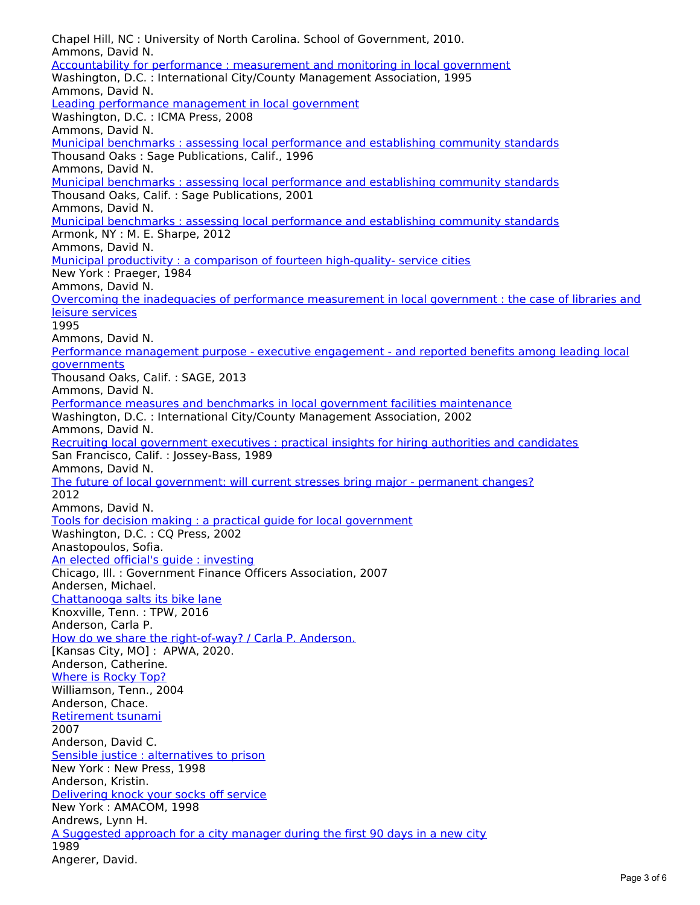Chapel Hill, NC : University of North Carolina. School of Government, 2010. Ammons, David N. [Accountability](https://www.mtas.tennessee.edu/librarycatalog/accountability-performance-measurement-and-monitoring-local-government) for performance : measurement and monitoring in local government Washington, D.C. : International City/County Management Association, 1995 Ammons, David N. Leading performance [management](https://www.mtas.tennessee.edu/librarycatalog/leading-performance-management-local-government) in local government Washington, D.C. : ICMA Press, 2008 Ammons, David N. Municipal benchmarks : assessing local [performance](https://www.mtas.tennessee.edu/librarycatalog/municipal-benchmarks-assessing-local-performance-and-establishing-community) and establishing community standards Thousand Oaks : Sage Publications, Calif., 1996 Ammons, David N. Municipal benchmarks : assessing local [performance](https://www.mtas.tennessee.edu/librarycatalog/municipal-benchmarks-assessing-local-performance-and-establishing-community-0) and establishing community standards Thousand Oaks, Calif. : Sage Publications, 2001 Ammons, David N. Municipal benchmarks : assessing local [performance](https://www.mtas.tennessee.edu/librarycatalog/municipal-benchmarks-assessing-local-performance-and-establishing-community-1) and establishing community standards Armonk, NY : M. E. Sharpe, 2012 Ammons, David N. Municipal productivity : a comparison of fourteen [high-quality-](https://www.mtas.tennessee.edu/librarycatalog/municipal-productivity-comparison-fourteen-high-quality-service-cities) service cities New York : Praeger, 1984 Ammons, David N. Overcoming the inadequacies of performance [measurement](https://www.mtas.tennessee.edu/librarycatalog/overcoming-inadequacies-performance-measurement-local-government-case-libraries-and) in local government : the case of libraries and leisure services 1995 Ammons, David N. Performance [management](https://www.mtas.tennessee.edu/librarycatalog/performance-management-purpose-executive-engagement-and-reported-benefits-among) purpose - executive engagement - and reported benefits among leading local **governments** Thousand Oaks, Calif. : SAGE, 2013 Ammons, David N. Performance measures and benchmarks in local government facilities [maintenance](https://www.mtas.tennessee.edu/librarycatalog/performance-measures-and-benchmarks-local-government-facilities-maintenance) Washington, D.C. : International City/County Management Association, 2002 Ammons, David N. Recruiting local [government](https://www.mtas.tennessee.edu/librarycatalog/recruiting-local-government-executives-practical-insights-hiring-authorities-and) executives : practical insights for hiring authorities and candidates San Francisco, Calif. : Jossey-Bass, 1989 Ammons, David N. The future of local [government:](https://www.mtas.tennessee.edu/librarycatalog/future-local-government-will-current-stresses-bring-major-permanent-changes) will current stresses bring major - permanent changes? 2012 Ammons, David N. Tools for decision making : a practical guide for local [government](https://www.mtas.tennessee.edu/librarycatalog/tools-decision-making-practical-guide-local-government) Washington, D.C. : CQ Press, 2002 Anastopoulos, Sofia. An elected official's guide : [investing](https://www.mtas.tennessee.edu/librarycatalog/elected-officials-guide-investing) Chicago, Ill. : Government Finance Officers Association, 2007 Andersen, Michael. [Chattanooga](https://www.mtas.tennessee.edu/librarycatalog/chattanooga-salts-its-bike-lane) salts its bike lane Knoxville, Tenn. : TPW, 2016 Anderson, Carla P. How do we share the [right-of-way?](https://www.mtas.tennessee.edu/librarycatalog/how-do-we-share-right-way-carla-p-anderson) / Carla P. Anderson. [Kansas City, MO]: APWA, 2020. Anderson, Catherine. [Where](https://www.mtas.tennessee.edu/librarycatalog/where-rocky-top) is Rocky Top? Williamson, Tenn., 2004 Anderson, Chace. [Retirement](https://www.mtas.tennessee.edu/librarycatalog/retirement-tsunami) tsunami 2007 Anderson, David C. Sensible justice : [alternatives](https://www.mtas.tennessee.edu/librarycatalog/sensible-justice-alternatives-prison) to prison New York : New Press, 1998 Anderson, Kristin. [Delivering](https://www.mtas.tennessee.edu/librarycatalog/delivering-knock-your-socks-service) knock your socks off service New York : AMACOM, 1998 Andrews, Lynn H. A [Suggested](https://www.mtas.tennessee.edu/librarycatalog/suggested-approach-city-manager-during-first-90-days-new-city) approach for a city manager during the first 90 days in a new city 1989 Angerer, David.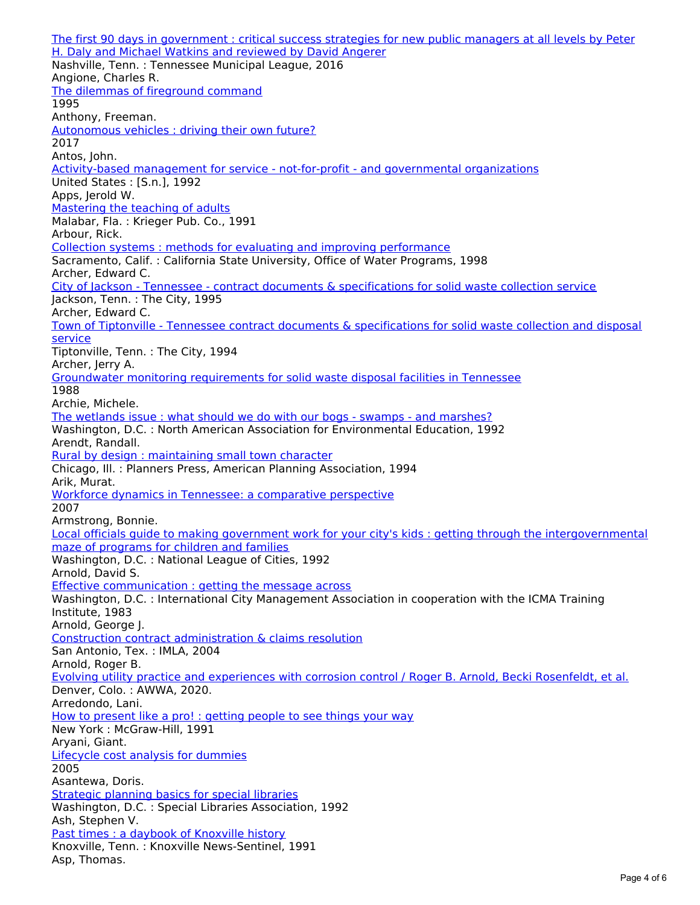The first 90 days in [government](https://www.mtas.tennessee.edu/librarycatalog/first-90-days-government-critical-success-strategies-new-public-managers-all-0) : critical success strategies for new public managers at all levels by Peter H. Daly and Michael Watkins and reviewed by David Angerer Nashville, Tenn. : Tennessee Municipal League, 2016 Angione, Charles R. The dilemmas of [fireground](https://www.mtas.tennessee.edu/librarycatalog/dilemmas-fireground-command) command 1995 Anthony, Freeman. [Autonomous](https://www.mtas.tennessee.edu/librarycatalog/autonomous-vehicles-driving-their-own-future) vehicles : driving their own future? 2017 Antos, John. [Activity-based](https://www.mtas.tennessee.edu/librarycatalog/activity-based-management-service-not-profit-and-governmental-organizations) management for service - not-for-profit - and governmental organizations United States : [S.n.], 1992 Apps, Jerold W. [Mastering](https://www.mtas.tennessee.edu/librarycatalog/mastering-teaching-adults) the teaching of adults Malabar, Fla. : Krieger Pub. Co., 1991 Arbour, Rick. Collection systems : methods for evaluating and improving [performance](https://www.mtas.tennessee.edu/librarycatalog/collection-systems-methods-evaluating-and-improving-performance) Sacramento, Calif. : California State University, Office of Water Programs, 1998 Archer, Edward C. City of Jackson - Tennessee - contract documents & [specifications](https://www.mtas.tennessee.edu/librarycatalog/city-jackson-tennessee-contract-documents-specifications-solid-waste-collection) for solid waste collection service Jackson, Tenn. : The City, 1995 Archer, Edward C. Town of Tiptonville - Tennessee contract documents & [specifications](https://www.mtas.tennessee.edu/librarycatalog/town-tiptonville-tennessee-contract-documents-specifications-solid-waste-collection) for solid waste collection and disposal **service** Tiptonville, Tenn. : The City, 1994 Archer, Jerry A. Groundwater monitoring [requirements](https://www.mtas.tennessee.edu/librarycatalog/groundwater-monitoring-requirements-solid-waste-disposal-facilities-tennessee) for solid waste disposal facilities in Tennessee 1988 Archie, Michele. The wetlands issue : what should we do with our bogs - swamps - and [marshes?](https://www.mtas.tennessee.edu/librarycatalog/wetlands-issue-what-should-we-do-our-bogs-swamps-and-marshes) Washington, D.C. : North American Association for Environmental Education, 1992 Arendt, Randall. Rural by design : [maintaining](https://www.mtas.tennessee.edu/librarycatalog/rural-design-maintaining-small-town-character) small town character Chicago, Ill. : Planners Press, American Planning Association, 1994 Arik, Murat. Workforce dynamics in Tennessee: a [comparative](https://www.mtas.tennessee.edu/librarycatalog/workforce-dynamics-tennessee-comparative-perspective) perspective 2007 Armstrong, Bonnie. Local officials guide to making government work for your city's kids : getting through the [intergovernmental](https://www.mtas.tennessee.edu/librarycatalog/local-officials-guide-making-government-work-your-citys-kids-getting-through) maze of programs for children and families Washington, D.C. : National League of Cities, 1992 Arnold, David S. Effective [communication](https://www.mtas.tennessee.edu/librarycatalog/effective-communication-getting-message-across) : getting the message across Washington, D.C. : International City Management Association in cooperation with the ICMA Training Institute, 1983 Arnold, George J. Construction contract [administration](https://www.mtas.tennessee.edu/librarycatalog/construction-contract-administration-claims-resolution) & claims resolution San Antonio, Tex. : IMLA, 2004 Arnold, Roger B. Evolving utility practice and [experiences](https://www.mtas.tennessee.edu/librarycatalog/evolving-utility-practice-and-experiences-corrosion-control-roger-b-arnold-becki) with corrosion control / Roger B. Arnold, Becki Rosenfeldt, et al. Denver, Colo. : AWWA, 2020. Arredondo, Lani. How to [present](https://www.mtas.tennessee.edu/librarycatalog/how-present-pro-getting-people-see-things-your-way) like a pro! : getting people to see things your way New York : McGraw-Hill, 1991 Aryani, Giant. Lifecycle cost analysis for [dummies](https://www.mtas.tennessee.edu/librarycatalog/lifecycle-cost-analysis-dummies) 2005 Asantewa, Doris. [Strategic](https://www.mtas.tennessee.edu/librarycatalog/strategic-planning-basics-special-libraries) planning basics for special libraries Washington, D.C. : Special Libraries Association, 1992 Ash, Stephen V. Past times : a daybook of [Knoxville](https://www.mtas.tennessee.edu/librarycatalog/past-times-daybook-knoxville-history) history Knoxville, Tenn. : Knoxville News-Sentinel, 1991 Asp, Thomas.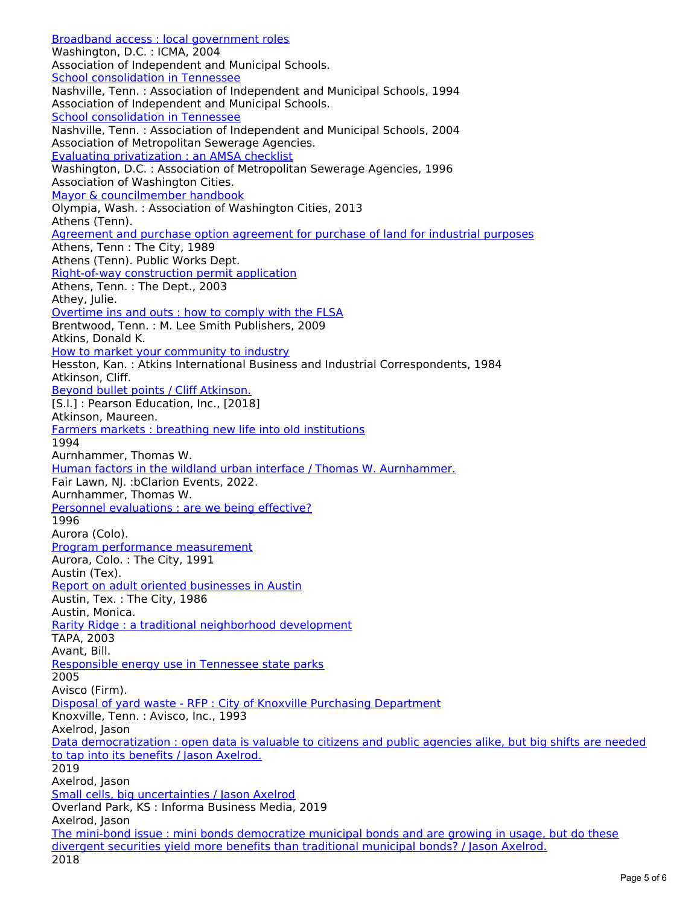Broadband access : local [government](https://www.mtas.tennessee.edu/librarycatalog/broadband-access-local-government-roles) roles Washington, D.C. : ICMA, 2004 Association of Independent and Municipal Schools. School [consolidation](https://www.mtas.tennessee.edu/librarycatalog/school-consolidation-tennessee) in Tennessee Nashville, Tenn. : Association of Independent and Municipal Schools, 1994 Association of Independent and Municipal Schools. School [consolidation](https://www.mtas.tennessee.edu/librarycatalog/school-consolidation-tennessee-0) in Tennessee Nashville, Tenn. : Association of Independent and Municipal Schools, 2004 Association of Metropolitan Sewerage Agencies. Evaluating [privatization](https://www.mtas.tennessee.edu/librarycatalog/evaluating-privatization-amsa-checklist) : an AMSA checklist Washington, D.C. : Association of Metropolitan Sewerage Agencies, 1996 Association of Washington Cities. Mayor & [councilmember](https://www.mtas.tennessee.edu/librarycatalog/mayor-councilmember-handbook) handbook Olympia, Wash. : Association of Washington Cities, 2013 Athens (Tenn). [Agreement](https://www.mtas.tennessee.edu/librarycatalog/agreement-and-purchase-option-agreement-purchase-land-industrial-purposes) and purchase option agreement for purchase of land for industrial purposes Athens, Tenn : The City, 1989 Athens (Tenn). Public Works Dept. [Right-of-way](https://www.mtas.tennessee.edu/librarycatalog/right-way-construction-permit-application) construction permit application Athens, Tenn. : The Dept., 2003 Athey, Julie. [Overtime](https://www.mtas.tennessee.edu/librarycatalog/overtime-ins-and-outs-how-comply-flsa) ins and outs : how to comply with the FLSA Brentwood, Tenn. : M. Lee Smith Publishers, 2009 Atkins, Donald K. How to market your [community](https://www.mtas.tennessee.edu/librarycatalog/how-market-your-community-industry) to industry Hesston, Kan. : Atkins International Business and Industrial Correspondents, 1984 Atkinson, Cliff. Beyond bullet points / Cliff [Atkinson.](https://www.mtas.tennessee.edu/librarycatalog/beyond-bullet-points-cliff-atkinson) [S.l.] : Pearson Education, Inc., [2018] Atkinson, Maureen. Farmers markets : breathing new life into old [institutions](https://www.mtas.tennessee.edu/librarycatalog/farmers-markets-breathing-new-life-old-institutions) 1994 Aurnhammer, Thomas W. Human factors in the wildland urban interface / Thomas W. [Aurnhammer.](https://www.mtas.tennessee.edu/librarycatalog/human-factors-wildland-urban-interface-thomas-w-aurnhammer) Fair Lawn, NJ. :bClarion Events, 2022. Aurnhammer, Thomas W. Personnel [evaluations](https://www.mtas.tennessee.edu/librarycatalog/personnel-evaluations-are-we-being-effective) : are we being effective? 1996 Aurora (Colo). Program performance [measurement](https://www.mtas.tennessee.edu/librarycatalog/program-performance-measurement) Aurora, Colo. : The City, 1991 Austin (Tex). Report on adult oriented [businesses](https://www.mtas.tennessee.edu/librarycatalog/report-adult-oriented-businesses-austin) in Austin Austin, Tex. : The City, 1986 Austin, Monica. Rarity Ridge : a traditional [neighborhood](https://www.mtas.tennessee.edu/librarycatalog/rarity-ridge-traditional-neighborhood-development) development TAPA, 2003 Avant, Bill. [Responsible](https://www.mtas.tennessee.edu/librarycatalog/responsible-energy-use-tennessee-state-parks) energy use in Tennessee state parks 2005 Avisco (Firm). Disposal of yard waste - RFP : City of Knoxville Purchasing [Department](https://www.mtas.tennessee.edu/librarycatalog/disposal-yard-waste-rfp-city-knoxville-purchasing-department) Knoxville, Tenn. : Avisco, Inc., 1993 Axelrod, Jason Data [democratization](https://www.mtas.tennessee.edu/librarycatalog/data-democratization-open-data-valuable-citizens-and-public-agencies-alike-big) : open data is valuable to citizens and public agencies alike, but big shifts are needed to tap into its benefits / Jason Axelrod. 2019 Axelrod, Jason Small cells, big [uncertainties](https://www.mtas.tennessee.edu/librarycatalog/small-cells-big-uncertainties-jason-axelrod) / Jason Axelrod Overland Park, KS : Informa Business Media, 2019 Axelrod, Jason The mini-bond issue : mini bonds [democratize](https://www.mtas.tennessee.edu/librarycatalog/mini-bond-issue-mini-bonds-democratize-municipal-bonds-and-are-growing-usage-do) municipal bonds and are growing in usage, but do these divergent securities yield more benefits than traditional municipal bonds? / Jason Axelrod.